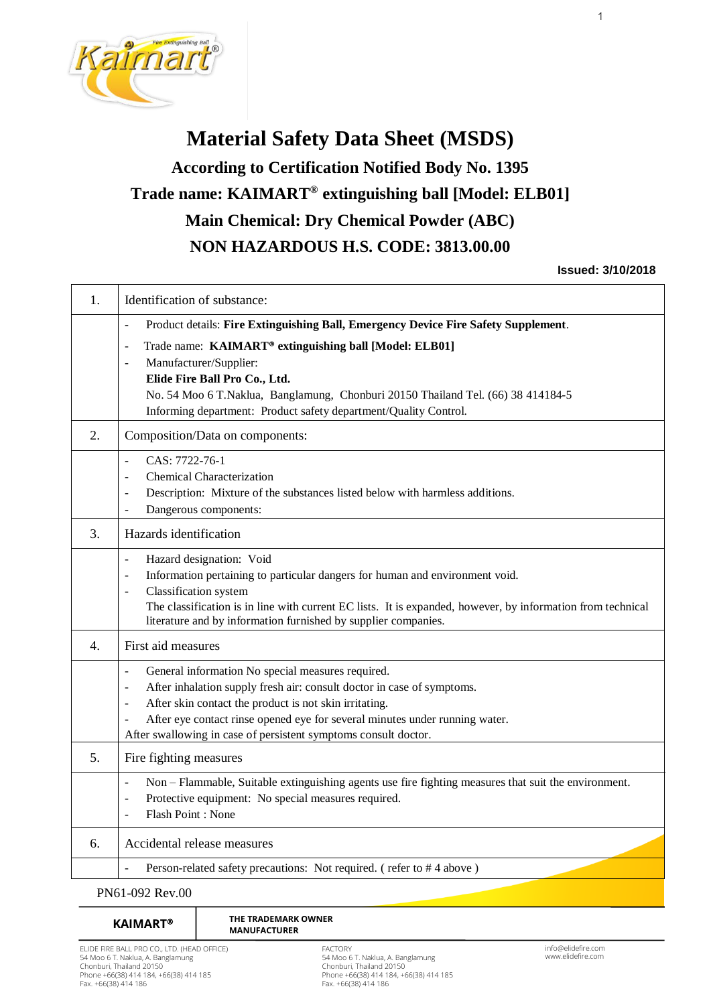

# **Material Safety Data Sheet (MSDS) According to Certification Notified Body No. 1395 Trade name: KAIMART® extinguishing ball [Model: ELB01] Main Chemical: Dry Chemical Powder (ABC) NON HAZARDOUS H.S. CODE: 3813.00.00**

## **Issued: 3/10/2018**

1

| 1.               | Identification of substance:                                                                                                                           |  |  |  |
|------------------|--------------------------------------------------------------------------------------------------------------------------------------------------------|--|--|--|
|                  | Product details: Fire Extinguishing Ball, Emergency Device Fire Safety Supplement.<br>÷,                                                               |  |  |  |
|                  | Trade name: KAIMART <sup>®</sup> extinguishing ball [Model: ELB01]                                                                                     |  |  |  |
|                  | Manufacturer/Supplier:                                                                                                                                 |  |  |  |
|                  | Elide Fire Ball Pro Co., Ltd.<br>No. 54 Moo 6 T.Naklua, Banglamung, Chonburi 20150 Thailand Tel. (66) 38 414184-5                                      |  |  |  |
|                  | Informing department: Product safety department/Quality Control.                                                                                       |  |  |  |
| 2.               | Composition/Data on components:                                                                                                                        |  |  |  |
|                  | CAS: 7722-76-1<br>÷,                                                                                                                                   |  |  |  |
|                  | <b>Chemical Characterization</b><br>٠                                                                                                                  |  |  |  |
|                  | Description: Mixture of the substances listed below with harmless additions.<br>٠                                                                      |  |  |  |
|                  | Dangerous components:<br>÷                                                                                                                             |  |  |  |
| 3.               | Hazards identification                                                                                                                                 |  |  |  |
|                  | Hazard designation: Void<br>$\blacksquare$                                                                                                             |  |  |  |
|                  | Information pertaining to particular dangers for human and environment void.<br>$\sim$                                                                 |  |  |  |
|                  | Classification system<br>$\overline{a}$<br>The classification is in line with current EC lists. It is expanded, however, by information from technical |  |  |  |
|                  | literature and by information furnished by supplier companies.                                                                                         |  |  |  |
| $\mathbf{4}_{1}$ | First aid measures                                                                                                                                     |  |  |  |
|                  | General information No special measures required.<br>÷,                                                                                                |  |  |  |
|                  | After inhalation supply fresh air: consult doctor in case of symptoms.                                                                                 |  |  |  |
|                  | After skin contact the product is not skin irritating.<br>۰                                                                                            |  |  |  |
|                  | After eye contact rinse opened eye for several minutes under running water.<br>After swallowing in case of persistent symptoms consult doctor.         |  |  |  |
|                  |                                                                                                                                                        |  |  |  |
| 5.               | Fire fighting measures                                                                                                                                 |  |  |  |
|                  | Non - Flammable, Suitable extinguishing agents use fire fighting measures that suit the environment.<br>$\bar{\phantom{a}}$                            |  |  |  |
|                  | Protective equipment: No special measures required.                                                                                                    |  |  |  |
|                  | Flash Point: None                                                                                                                                      |  |  |  |
| 6.               | Accidental release measures                                                                                                                            |  |  |  |
|                  | Person-related safety precautions: Not required. (refer to #4 above)                                                                                   |  |  |  |
|                  | PN61-092 Rev.00                                                                                                                                        |  |  |  |

#### **THE TRADEMARK OWNER KAIMART<sup>®</sup>** THE TRADEMARK ֦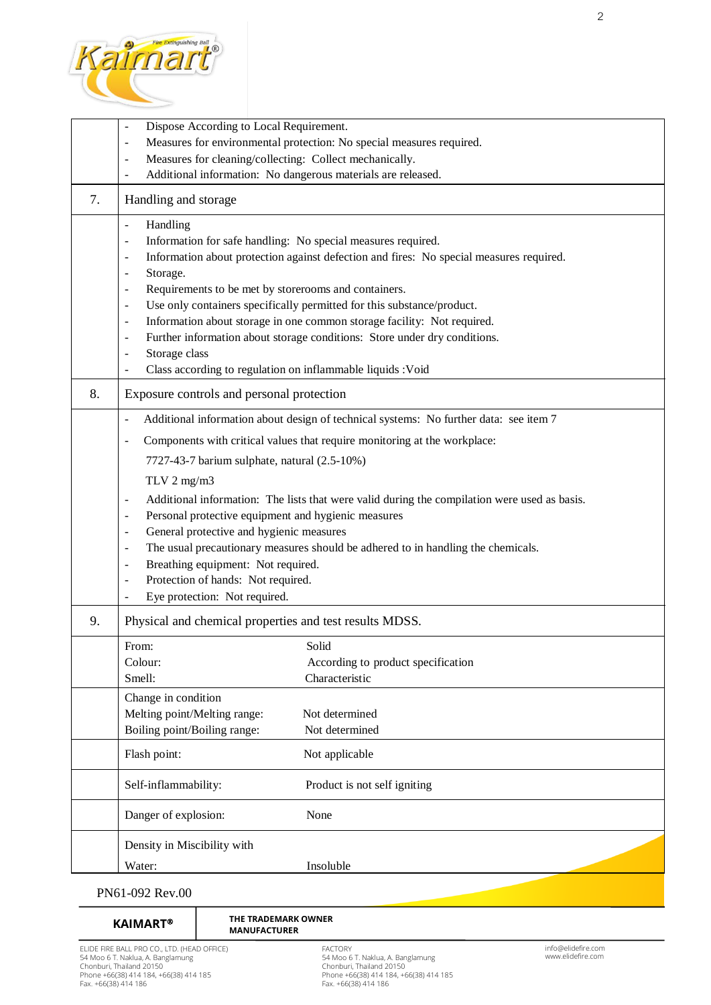

|    | Dispose According to Local Requirement.<br>Measures for environmental protection: No special measures required.<br>$\overline{\phantom{a}}$<br>Measures for cleaning/collecting: Collect mechanically.<br>$\qquad \qquad \blacksquare$                                                                                                                                                                                                                                                                                                                                                                                                                                                                                                                                                                                                                           |                                                                                 |  |  |  |  |
|----|------------------------------------------------------------------------------------------------------------------------------------------------------------------------------------------------------------------------------------------------------------------------------------------------------------------------------------------------------------------------------------------------------------------------------------------------------------------------------------------------------------------------------------------------------------------------------------------------------------------------------------------------------------------------------------------------------------------------------------------------------------------------------------------------------------------------------------------------------------------|---------------------------------------------------------------------------------|--|--|--|--|
|    | Additional information: No dangerous materials are released.<br>$\overline{\phantom{a}}$                                                                                                                                                                                                                                                                                                                                                                                                                                                                                                                                                                                                                                                                                                                                                                         |                                                                                 |  |  |  |  |
| 7. | Handling and storage                                                                                                                                                                                                                                                                                                                                                                                                                                                                                                                                                                                                                                                                                                                                                                                                                                             |                                                                                 |  |  |  |  |
|    | Handling<br>$\overline{\phantom{a}}$<br>Information for safe handling: No special measures required.<br>$\overline{\phantom{0}}$<br>Information about protection against defection and fires: No special measures required.<br>$\overline{\phantom{a}}$<br>Storage.<br>$\overline{\phantom{a}}$<br>Requirements to be met by storerooms and containers.<br>$\overline{\phantom{a}}$<br>Use only containers specifically permitted for this substance/product.<br>$\overline{\phantom{a}}$<br>Information about storage in one common storage facility: Not required.<br>$\overline{\phantom{a}}$<br>Further information about storage conditions: Store under dry conditions.<br>$\blacksquare$<br>Storage class<br>$\overline{\phantom{0}}$<br>Class according to regulation on inflammable liquids : Void<br>$\overline{\phantom{0}}$                          |                                                                                 |  |  |  |  |
| 8. | Exposure controls and personal protection                                                                                                                                                                                                                                                                                                                                                                                                                                                                                                                                                                                                                                                                                                                                                                                                                        |                                                                                 |  |  |  |  |
|    | Additional information about design of technical systems: No further data: see item 7<br>$\overline{\phantom{a}}$<br>Components with critical values that require monitoring at the workplace:<br>$\overline{\phantom{a}}$<br>7727-43-7 barium sulphate, natural (2.5-10%)<br>TLV $2$ mg/m $3$<br>Additional information: The lists that were valid during the compilation were used as basis.<br>$\overline{a}$<br>Personal protective equipment and hygienic measures<br>$\overline{\phantom{a}}$<br>General protective and hygienic measures<br>$\overline{\phantom{a}}$<br>The usual precautionary measures should be adhered to in handling the chemicals.<br>$\overline{\phantom{a}}$<br>Breathing equipment: Not required.<br>$\overline{\phantom{a}}$<br>Protection of hands: Not required.<br>$\overline{\phantom{a}}$<br>Eye protection: Not required. |                                                                                 |  |  |  |  |
| 9. | Physical and chemical properties and test results MDSS.                                                                                                                                                                                                                                                                                                                                                                                                                                                                                                                                                                                                                                                                                                                                                                                                          |                                                                                 |  |  |  |  |
|    | From:<br>Colour:<br>Smell:<br>Change in condition<br>Melting point/Melting range:                                                                                                                                                                                                                                                                                                                                                                                                                                                                                                                                                                                                                                                                                                                                                                                | Solid<br>According to product specification<br>Characteristic<br>Not determined |  |  |  |  |
|    | Boiling point/Boiling range:                                                                                                                                                                                                                                                                                                                                                                                                                                                                                                                                                                                                                                                                                                                                                                                                                                     | Not determined                                                                  |  |  |  |  |
|    | Flash point:                                                                                                                                                                                                                                                                                                                                                                                                                                                                                                                                                                                                                                                                                                                                                                                                                                                     | Not applicable                                                                  |  |  |  |  |
|    | Self-inflammability:                                                                                                                                                                                                                                                                                                                                                                                                                                                                                                                                                                                                                                                                                                                                                                                                                                             | Product is not self igniting                                                    |  |  |  |  |
|    | Danger of explosion:                                                                                                                                                                                                                                                                                                                                                                                                                                                                                                                                                                                                                                                                                                                                                                                                                                             | None                                                                            |  |  |  |  |
|    | Density in Miscibility with<br>Water:                                                                                                                                                                                                                                                                                                                                                                                                                                                                                                                                                                                                                                                                                                                                                                                                                            | Insoluble                                                                       |  |  |  |  |
|    | PN61-092 Rev 00                                                                                                                                                                                                                                                                                                                                                                                                                                                                                                                                                                                                                                                                                                                                                                                                                                                  |                                                                                 |  |  |  |  |

# PN61-092 Rev.00

֦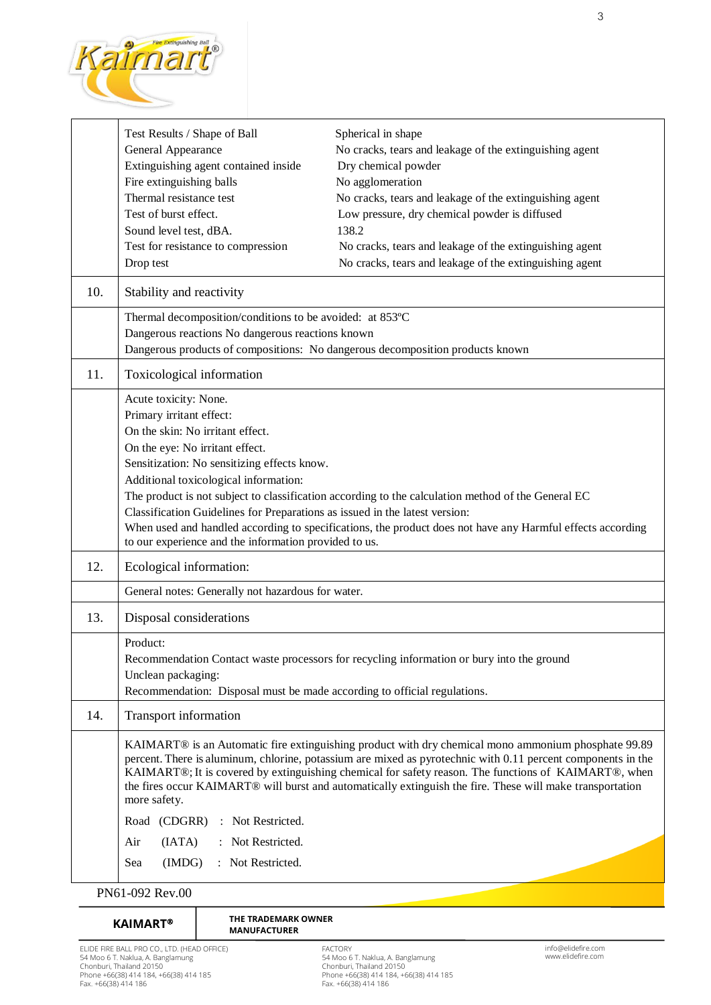

|     | Test Results / Shape of Ball                                                                                                                                                                                                      | Spherical in shape                                                                                 |  |  |  |  |
|-----|-----------------------------------------------------------------------------------------------------------------------------------------------------------------------------------------------------------------------------------|----------------------------------------------------------------------------------------------------|--|--|--|--|
|     | General Appearance                                                                                                                                                                                                                | No cracks, tears and leakage of the extinguishing agent                                            |  |  |  |  |
|     | Extinguishing agent contained inside                                                                                                                                                                                              | Dry chemical powder                                                                                |  |  |  |  |
|     | Fire extinguishing balls                                                                                                                                                                                                          | No agglomeration                                                                                   |  |  |  |  |
|     | Thermal resistance test                                                                                                                                                                                                           | No cracks, tears and leakage of the extinguishing agent                                            |  |  |  |  |
|     | Test of burst effect.                                                                                                                                                                                                             | Low pressure, dry chemical powder is diffused                                                      |  |  |  |  |
|     | Sound level test, dBA.                                                                                                                                                                                                            | 138.2                                                                                              |  |  |  |  |
|     | Test for resistance to compression                                                                                                                                                                                                | No cracks, tears and leakage of the extinguishing agent                                            |  |  |  |  |
|     | Drop test                                                                                                                                                                                                                         | No cracks, tears and leakage of the extinguishing agent                                            |  |  |  |  |
| 10. | Stability and reactivity                                                                                                                                                                                                          |                                                                                                    |  |  |  |  |
|     | Thermal decomposition/conditions to be avoided: at 853°C                                                                                                                                                                          |                                                                                                    |  |  |  |  |
|     | Dangerous reactions No dangerous reactions known                                                                                                                                                                                  |                                                                                                    |  |  |  |  |
|     |                                                                                                                                                                                                                                   | Dangerous products of compositions: No dangerous decomposition products known                      |  |  |  |  |
| 11. | Toxicological information                                                                                                                                                                                                         |                                                                                                    |  |  |  |  |
|     | Acute toxicity: None.                                                                                                                                                                                                             |                                                                                                    |  |  |  |  |
|     | Primary irritant effect:                                                                                                                                                                                                          |                                                                                                    |  |  |  |  |
|     | On the skin: No irritant effect.                                                                                                                                                                                                  |                                                                                                    |  |  |  |  |
|     | On the eye: No irritant effect.                                                                                                                                                                                                   |                                                                                                    |  |  |  |  |
|     | Sensitization: No sensitizing effects know.                                                                                                                                                                                       |                                                                                                    |  |  |  |  |
|     | Additional toxicological information:                                                                                                                                                                                             |                                                                                                    |  |  |  |  |
|     |                                                                                                                                                                                                                                   | The product is not subject to classification according to the calculation method of the General EC |  |  |  |  |
|     | Classification Guidelines for Preparations as issued in the latest version:                                                                                                                                                       |                                                                                                    |  |  |  |  |
|     |                                                                                                                                                                                                                                   |                                                                                                    |  |  |  |  |
|     | When used and handled according to specifications, the product does not have any Harmful effects according<br>to our experience and the information provided to us.                                                               |                                                                                                    |  |  |  |  |
| 12. | Ecological information:                                                                                                                                                                                                           |                                                                                                    |  |  |  |  |
|     | General notes: Generally not hazardous for water.                                                                                                                                                                                 |                                                                                                    |  |  |  |  |
| 13. | Disposal considerations                                                                                                                                                                                                           |                                                                                                    |  |  |  |  |
|     | Product:                                                                                                                                                                                                                          |                                                                                                    |  |  |  |  |
|     |                                                                                                                                                                                                                                   | Recommendation Contact waste processors for recycling information or bury into the ground          |  |  |  |  |
|     | Unclean packaging:                                                                                                                                                                                                                |                                                                                                    |  |  |  |  |
|     | Recommendation: Disposal must be made according to official regulations.                                                                                                                                                          |                                                                                                    |  |  |  |  |
| 14. | <b>Transport information</b>                                                                                                                                                                                                      |                                                                                                    |  |  |  |  |
|     | KAIMART <sup>®</sup> is an Automatic fire extinguishing product with dry chemical mono ammonium phosphate 99.89<br>percent. There is aluminum, chlorine, potassium are mixed as pyrotechnic with 0.11 percent components in the   |                                                                                                    |  |  |  |  |
|     | KAIMART®; It is covered by extinguishing chemical for safety reason. The functions of KAIMART®, when<br>the fires occur KAIMART® will burst and automatically extinguish the fire. These will make transportation<br>more safety. |                                                                                                    |  |  |  |  |
|     | : Not Restricted.<br>Road (CDGRR)                                                                                                                                                                                                 |                                                                                                    |  |  |  |  |
|     | : Not Restricted.<br>(IATA)<br>Air                                                                                                                                                                                                |                                                                                                    |  |  |  |  |
|     | Sea<br>(IMDG)<br>: Not Restricted.                                                                                                                                                                                                |                                                                                                    |  |  |  |  |
|     | PN61-092 Rev.00                                                                                                                                                                                                                   |                                                                                                    |  |  |  |  |

**KAIMART<sup>®</sup>** THE TRADEMARK<br>
MANUFACTURER

FACTORY 54 Moo 6 T. Naklua, A. Banglamung Chonburi, Thailand 20150 Phone +66(38) 414 184, +66(38) 414 185 Fax. +66(38) 414 186

**THE TRADEMARK OWNER**